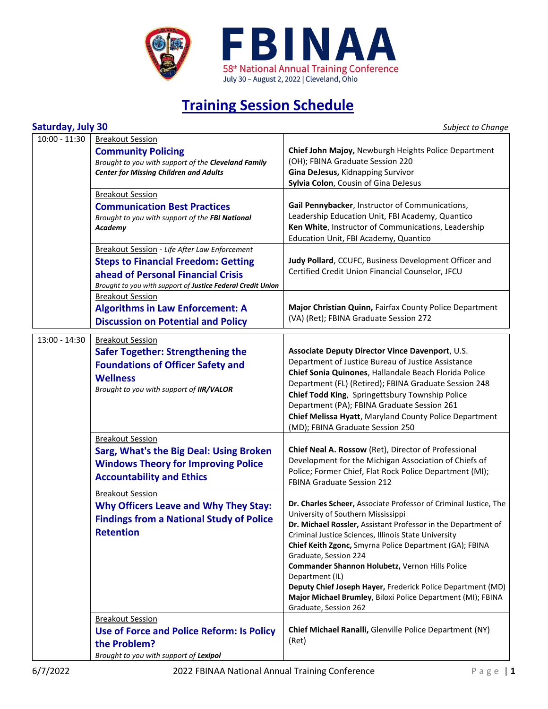

## **Training Session Schedule**

| Saturday, July 30 |  |  |
|-------------------|--|--|
|                   |  |  |

**Subject to Change** 

| $10:00 - 11:30$ | <b>Breakout Session</b><br><b>Community Policing</b><br>Brought to you with support of the Cleveland Family<br><b>Center for Missing Children and Adults</b>                                     | Chief John Majoy, Newburgh Heights Police Department<br>(OH); FBINA Graduate Session 220<br>Gina DeJesus, Kidnapping Survivor<br>Sylvia Colon, Cousin of Gina DeJesus                                                                                                                                                                                                                                                                                                                                                                            |
|-----------------|--------------------------------------------------------------------------------------------------------------------------------------------------------------------------------------------------|--------------------------------------------------------------------------------------------------------------------------------------------------------------------------------------------------------------------------------------------------------------------------------------------------------------------------------------------------------------------------------------------------------------------------------------------------------------------------------------------------------------------------------------------------|
|                 | <b>Breakout Session</b><br><b>Communication Best Practices</b><br>Brought to you with support of the FBI National<br>Academy                                                                     | Gail Pennybacker, Instructor of Communications,<br>Leadership Education Unit, FBI Academy, Quantico<br>Ken White, Instructor of Communications, Leadership<br>Education Unit, FBI Academy, Quantico                                                                                                                                                                                                                                                                                                                                              |
|                 | Breakout Session - Life After Law Enforcement<br><b>Steps to Financial Freedom: Getting</b><br>ahead of Personal Financial Crisis<br>Brought to you with support of Justice Federal Credit Union | Judy Pollard, CCUFC, Business Development Officer and<br>Certified Credit Union Financial Counselor, JFCU                                                                                                                                                                                                                                                                                                                                                                                                                                        |
|                 | <b>Breakout Session</b><br><b>Algorithms in Law Enforcement: A</b><br><b>Discussion on Potential and Policy</b>                                                                                  | Major Christian Quinn, Fairfax County Police Department<br>(VA) (Ret); FBINA Graduate Session 272                                                                                                                                                                                                                                                                                                                                                                                                                                                |
| 13:00 - 14:30   | <b>Breakout Session</b><br><b>Safer Together: Strengthening the</b><br><b>Foundations of Officer Safety and</b><br><b>Wellness</b><br>Brought to you with support of IIR/VALOR                   | Associate Deputy Director Vince Davenport, U.S.<br>Department of Justice Bureau of Justice Assistance<br>Chief Sonia Quinones, Hallandale Beach Florida Police<br>Department (FL) (Retired); FBINA Graduate Session 248<br>Chief Todd King, Springettsbury Township Police<br>Department (PA); FBINA Graduate Session 261<br>Chief Melissa Hyatt, Maryland County Police Department<br>(MD); FBINA Graduate Session 250                                                                                                                          |
|                 | <b>Breakout Session</b><br>Sarg, What's the Big Deal: Using Broken<br><b>Windows Theory for Improving Police</b><br><b>Accountability and Ethics</b>                                             | Chief Neal A. Rossow (Ret), Director of Professional<br>Development for the Michigan Association of Chiefs of<br>Police; Former Chief, Flat Rock Police Department (MI);<br><b>FBINA Graduate Session 212</b>                                                                                                                                                                                                                                                                                                                                    |
|                 | <b>Breakout Session</b><br><b>Why Officers Leave and Why They Stay:</b><br><b>Findings from a National Study of Police</b><br><b>Retention</b>                                                   | Dr. Charles Scheer, Associate Professor of Criminal Justice, The<br>University of Southern Mississippi<br>Dr. Michael Rossler, Assistant Professor in the Department of<br>Criminal Justice Sciences, Illinois State University<br>Chief Keith Zgonc, Smyrna Police Department (GA); FBINA<br>Graduate, Session 224<br>Commander Shannon Holubetz, Vernon Hills Police<br>Department (IL)<br>Deputy Chief Joseph Hayer, Frederick Police Department (MD)<br>Major Michael Brumley, Biloxi Police Department (MI); FBINA<br>Graduate, Session 262 |
|                 | <b>Breakout Session</b><br>Use of Force and Police Reform: Is Policy<br>the Problem?<br>Brought to you with support of Lexipol                                                                   | Chief Michael Ranalli, Glenville Police Department (NY)<br>(Ret)                                                                                                                                                                                                                                                                                                                                                                                                                                                                                 |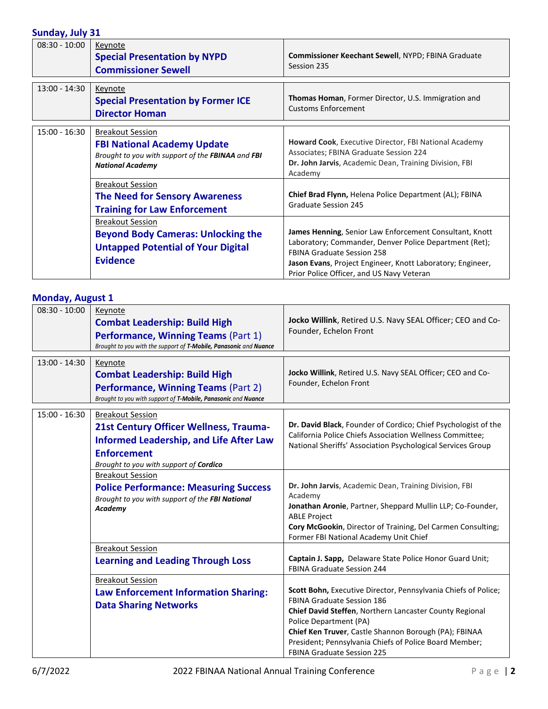## **Sunday, July 31**

| Juliaay, July Ji |                                                                                                                                               |                                                                                                                                                                                                                                                                   |
|------------------|-----------------------------------------------------------------------------------------------------------------------------------------------|-------------------------------------------------------------------------------------------------------------------------------------------------------------------------------------------------------------------------------------------------------------------|
| $08:30 - 10:00$  | Keynote<br><b>Special Presentation by NYPD</b><br><b>Commissioner Sewell</b>                                                                  | Commissioner Keechant Sewell, NYPD; FBINA Graduate<br>Session 235                                                                                                                                                                                                 |
| $13:00 - 14:30$  | Keynote<br><b>Special Presentation by Former ICE</b><br><b>Director Homan</b>                                                                 | <b>Thomas Homan, Former Director, U.S. Immigration and</b><br><b>Customs Enforcement</b>                                                                                                                                                                          |
| $15:00 - 16:30$  | <b>Breakout Session</b><br><b>FBI National Academy Update</b><br>Brought to you with support of the FBINAA and FBI<br><b>National Academy</b> | Howard Cook, Executive Director, FBI National Academy<br>Associates; FBINA Graduate Session 224<br>Dr. John Jarvis, Academic Dean, Training Division, FBI<br>Academy                                                                                              |
|                  | <b>Breakout Session</b><br><b>The Need for Sensory Awareness</b><br><b>Training for Law Enforcement</b>                                       | Chief Brad Flynn, Helena Police Department (AL); FBINA<br><b>Graduate Session 245</b>                                                                                                                                                                             |
|                  | <b>Breakout Session</b><br><b>Beyond Body Cameras: Unlocking the</b><br><b>Untapped Potential of Your Digital</b><br><b>Evidence</b>          | James Henning, Senior Law Enforcement Consultant, Knott<br>Laboratory; Commander, Denver Police Department (Ret);<br><b>FBINA Graduate Session 258</b><br>Jason Evans, Project Engineer, Knott Laboratory; Engineer,<br>Prior Police Officer, and US Navy Veteran |

## **Monday, August 1**

| $08:30 - 10:00$ | Keynote<br><b>Combat Leadership: Build High</b><br>Performance, Winning Teams (Part 1)<br>Brought to you with the support of T-Mobile, Panasonic and Nuance     | Jocko Willink, Retired U.S. Navy SEAL Officer; CEO and Co-<br>Founder, Echelon Front                                                                                                                                                                                                                        |
|-----------------|-----------------------------------------------------------------------------------------------------------------------------------------------------------------|-------------------------------------------------------------------------------------------------------------------------------------------------------------------------------------------------------------------------------------------------------------------------------------------------------------|
|                 |                                                                                                                                                                 |                                                                                                                                                                                                                                                                                                             |
| $13:00 - 14:30$ | Keynote<br><b>Combat Leadership: Build High</b><br><b>Performance, Winning Teams (Part 2)</b><br>Brought to you with support of T-Mobile, Panasonic and Nuance  | Jocko Willink, Retired U.S. Navy SEAL Officer; CEO and Co-<br>Founder, Echelon Front                                                                                                                                                                                                                        |
| $15:00 - 16:30$ | <b>Breakout Session</b>                                                                                                                                         |                                                                                                                                                                                                                                                                                                             |
|                 | <b>21st Century Officer Wellness, Trauma-</b><br><b>Informed Leadership, and Life After Law</b><br><b>Enforcement</b><br>Brought to you with support of Cordico | Dr. David Black, Founder of Cordico; Chief Psychologist of the<br>California Police Chiefs Association Wellness Committee;<br>National Sheriffs' Association Psychological Services Group                                                                                                                   |
|                 | <b>Breakout Session</b>                                                                                                                                         |                                                                                                                                                                                                                                                                                                             |
|                 | <b>Police Performance: Measuring Success</b><br>Brought to you with support of the FBI National<br>Academy                                                      | Dr. John Jarvis, Academic Dean, Training Division, FBI<br>Academy<br>Jonathan Aronie, Partner, Sheppard Mullin LLP; Co-Founder,<br><b>ABLE Project</b><br>Cory McGookin, Director of Training, Del Carmen Consulting;<br>Former FBI National Academy Unit Chief                                             |
|                 | <b>Breakout Session</b>                                                                                                                                         |                                                                                                                                                                                                                                                                                                             |
|                 | <b>Learning and Leading Through Loss</b>                                                                                                                        | Captain J. Sapp, Delaware State Police Honor Guard Unit;<br><b>FBINA Graduate Session 244</b>                                                                                                                                                                                                               |
|                 | <b>Breakout Session</b>                                                                                                                                         |                                                                                                                                                                                                                                                                                                             |
|                 | <b>Law Enforcement Information Sharing:</b><br><b>Data Sharing Networks</b>                                                                                     | Scott Bohn, Executive Director, Pennsylvania Chiefs of Police;<br><b>FBINA Graduate Session 186</b><br>Chief David Steffen, Northern Lancaster County Regional<br>Police Department (PA)<br>Chief Ken Truver, Castle Shannon Borough (PA); FBINAA<br>President; Pennsylvania Chiefs of Police Board Member; |
|                 |                                                                                                                                                                 | <b>FBINA Graduate Session 225</b>                                                                                                                                                                                                                                                                           |